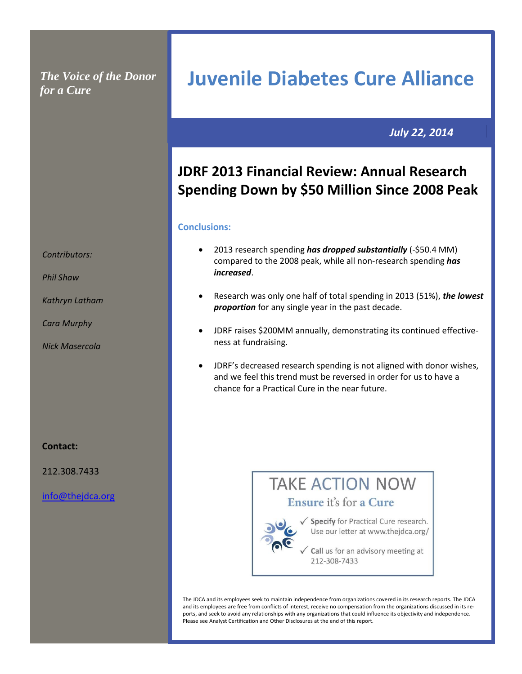*The Voice of the Donor for a Cure*

**Juvenile Diabetes Cure Alliance**

 *July 22, 2014*

## **JDRF 2013 Financial Review: Annual Research Spending Down by \$50 Million Since 2008 Peak**

## **Conclusions:**

- 2013 research spending *has dropped substantially* (-\$50.4 MM) compared to the 2008 peak, while all non-research spending *has* *increased*.
- Research was only one half of total spending in 2013 (51%), *the lowest proportion* for any single year in the past decade.
- JDRF raises \$200MM annually, demonstrating its continued effectiveness at fundraising.
- JDRF's decreased research spending is not aligned with donor wishes, and we feel this trend must be reversed in order for us to have a chance for a Practical Cure in the near future.

# **TAKE ACTION NOW**





√ Specify for Practical Cure research. Use our letter at www.thejdca.org/

 $\sqrt{\phantom{a}}$  Call us for an advisory meeting at 212-308-7433

The JDCA and its employees seek to maintain independence from organizations covered in its research reports. The JDCA and its employees are free from conflicts of interest, receive no compensation from the organizations discussed in its reports, and seek to avoid any relationships with any organizations that could influence its objectivity and independence. Please see Analyst Certification and Other Disclosures at the end of this report.

*Contributors:* 

*Phil Shaw*

*Kathryn Latham*

*Cara Murphy*

*Nick Masercola* 

**Contact:**

212.308.7433

[info@thejdca.org](mailto:info@thejdca.org)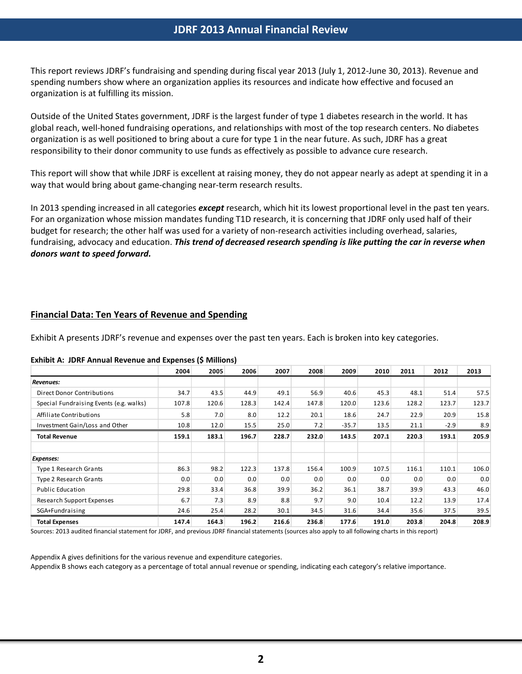## **JDRF 2013 Annual Financial Review**

This report reviews JDRF's fundraising and spending during fiscal year 2013 (July 1, 2012-June 30, 2013). Revenue and spending numbers show where an organization applies its resources and indicate how effective and focused an organization is at fulfilling its mission.

Outside of the United States government, JDRF is the largest funder of type 1 diabetes research in the world. It has global reach, well-honed fundraising operations, and relationships with most of the top research centers. No diabetes organization is as well positioned to bring about a cure for type 1 in the near future. As such, JDRF has a great responsibility to their donor community to use funds as effectively as possible to advance cure research.

This report will show that while JDRF is excellent at raising money, they do not appear nearly as adept at spending it in a way that would bring about game-changing near-term research results.

In 2013 spending increased in all categories *except* research, which hit its lowest proportional level in the past ten years. For an organization whose mission mandates funding T1D research, it is concerning that JDRF only used half of their budget for research; the other half was used for a variety of non-research activities including overhead, salaries, fundraising, advocacy and education. *This trend of decreased research spending is like putting the car in reverse when donors want to speed forward.*

## **Financial Data: Ten Years of Revenue and Spending**

Exhibit A presents JDRF's revenue and expenses over the past ten years. Each is broken into key categories.

## **Exhibit A: JDRF Annual Revenue and Expenses (\$ Millions)**

|                                         | 2004  | 2005  | 2006  | 2007  | 2008  | 2009    | 2010  | 2011  | 2012   | 2013  |
|-----------------------------------------|-------|-------|-------|-------|-------|---------|-------|-------|--------|-------|
| Revenues:                               |       |       |       |       |       |         |       |       |        |       |
| <b>Direct Donor Contributions</b>       | 34.7  | 43.5  | 44.9  | 49.1  | 56.9  | 40.6    | 45.3  | 48.1  | 51.4   | 57.5  |
| Special Fundraising Events (e.g. walks) | 107.8 | 120.6 | 128.3 | 142.4 | 147.8 | 120.0   | 123.6 | 128.2 | 123.7  | 123.7 |
| Affiliate Contributions                 | 5.8   | 7.0   | 8.0   | 12.2  | 20.1  | 18.6    | 24.7  | 22.9  | 20.9   | 15.8  |
| Investment Gain/Loss and Other          | 10.8  | 12.0  | 15.5  | 25.0  | 7.2   | $-35.7$ | 13.5  | 21.1  | $-2.9$ | 8.9   |
| <b>Total Revenue</b>                    | 159.1 | 183.1 | 196.7 | 228.7 | 232.0 | 143.5   | 207.1 | 220.3 | 193.1  | 205.9 |
|                                         |       |       |       |       |       |         |       |       |        |       |
| <b>Expenses:</b>                        |       |       |       |       |       |         |       |       |        |       |
| <b>Type 1 Research Grants</b>           | 86.3  | 98.2  | 122.3 | 137.8 | 156.4 | 100.9   | 107.5 | 116.1 | 110.1  | 106.0 |
| <b>Type 2 Research Grants</b>           | 0.0   | 0.0   | 0.0   | 0.0   | 0.0   | 0.0     | 0.0   | 0.0   | 0.0    | 0.0   |
| Public Education                        | 29.8  | 33.4  | 36.8  | 39.9  | 36.2  | 36.1    | 38.7  | 39.9  | 43.3   | 46.0  |
| Research Support Expenses               | 6.7   | 7.3   | 8.9   | 8.8   | 9.7   | 9.0     | 10.4  | 12.2  | 13.9   | 17.4  |
| SGA+Fundraising                         | 24.6  | 25.4  | 28.2  | 30.1  | 34.5  | 31.6    | 34.4  | 35.6  | 37.5   | 39.5  |
| <b>Total Expenses</b>                   | 147.4 | 164.3 | 196.2 | 216.6 | 236.8 | 177.6   | 191.0 | 203.8 | 204.8  | 208.9 |

Sources: 2013 audited financial statement for JDRF, and previous JDRF financial statements (sources also apply to all following charts in this report)

Appendix A gives definitions for the various revenue and expenditure categories.

Appendix B shows each category as a percentage of total annual revenue or spending, indicating each category's relative importance.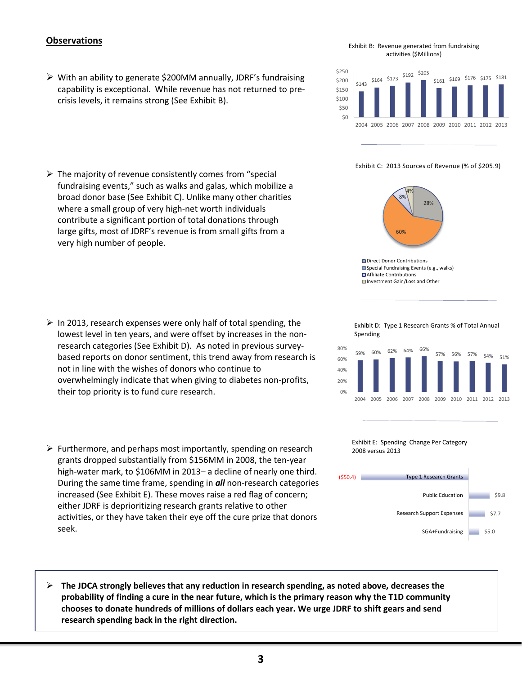## **Observations**

- $\triangleright$  With an ability to generate \$200MM annually, JDRF's fundraising capability is exceptional. While revenue has not returned to precrisis levels, it remains strong (See Exhibit B).
- $\triangleright$  The majority of revenue consistently comes from "special fundraising events," such as walks and galas, which mobilize a broad donor base (See Exhibit C). Unlike many other charities where a small group of very high-net worth individuals contribute a significant portion of total donations through large gifts, most of JDRF's revenue is from small gifts from a very high number of people.

- $\triangleright$  In 2013, research expenses were only half of total spending, the lowest level in ten years, and were offset by increases in the nonresearch categories (See Exhibit D). As noted in previous surveybased reports on donor sentiment, this trend away from research is not in line with the wishes of donors who continue to overwhelmingly indicate that when giving to diabetes non-profits, their top priority is to fund cure research.
- $\triangleright$  Furthermore, and perhaps most importantly, spending on research grants dropped substantially from \$156MM in 2008, the ten-year high-water mark, to \$106MM in 2013- a decline of nearly one third. During the same time frame, spending in *all* non-research categories increased (See Exhibit E). These moves raise a red flag of concern; either JDRF is deprioritizing research grants relative to other activities, or they have taken their eye off the cure prize that donors seek.
- **The JDCA strongly believes that any reduction in research spending, as noted above, decreases the probability of finding a cure in the near future, which is the primary reason why the T1D community chooses to donate hundreds of millions of dollars each year. We urge JDRF to shift gears and send research spending back in the right direction.**

#### Exhibit B: Revenue generated from fundraising activities (\$Millions)



Exhibit C: 2013 Sources of Revenue (% of \$205.9)



Direct Donor Contributions Special Fundraising Events (e.g., walks) **■**Affiliate Contributions ■Investment Gain/Loss and Other

Exhibit D: Type 1 Research Grants % of Total Annual Spending





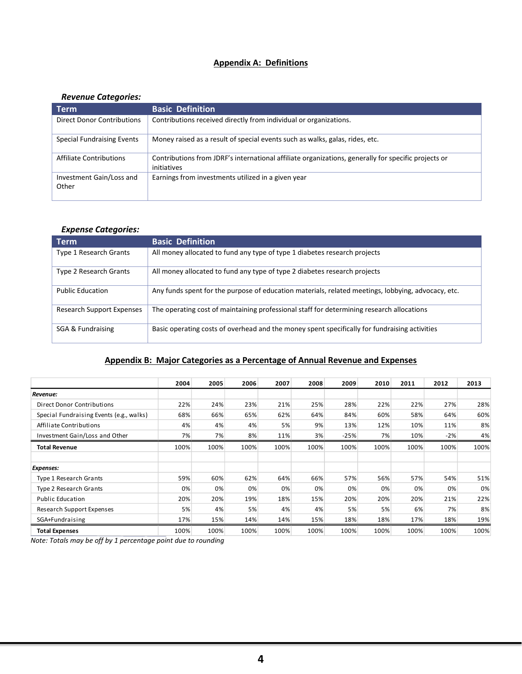## **Appendix A: Definitions**

## *Revenue Categories:*

| <b>Term</b>                       | <b>Basic Definition</b>                                                                                            |
|-----------------------------------|--------------------------------------------------------------------------------------------------------------------|
| Direct Donor Contributions        | Contributions received directly from individual or organizations.                                                  |
| <b>Special Fundraising Events</b> | Money raised as a result of special events such as walks, galas, rides, etc.                                       |
| <b>Affiliate Contributions</b>    | Contributions from JDRF's international affiliate organizations, generally for specific projects or<br>initiatives |
| Investment Gain/Loss and<br>Other | Earnings from investments utilized in a given year                                                                 |

## *Expense Categories:*

| <b>Term</b>                      | <b>Basic Definition</b>                                                                            |
|----------------------------------|----------------------------------------------------------------------------------------------------|
| <b>Type 1 Research Grants</b>    | All money allocated to fund any type of type 1 diabetes research projects                          |
| Type 2 Research Grants           | All money allocated to fund any type of type 2 diabetes research projects                          |
| <b>Public Education</b>          | Any funds spent for the purpose of education materials, related meetings, lobbying, advocacy, etc. |
| <b>Research Support Expenses</b> | The operating cost of maintaining professional staff for determining research allocations          |
| SGA & Fundraising                | Basic operating costs of overhead and the money spent specifically for fundraising activities      |

## **Appendix B: Major Categories as a Percentage of Annual Revenue and Expenses**

|                                          | 2004 | 2005 | 2006 | 2007 | 2008 | 2009   | 2010 | 2011 | 2012  | 2013 |
|------------------------------------------|------|------|------|------|------|--------|------|------|-------|------|
| Revenue:                                 |      |      |      |      |      |        |      |      |       |      |
| Direct Donor Contributions               | 22%  | 24%  | 23%  | 21%  | 25%  | 28%    | 22%  | 22%  | 27%   | 28%  |
| Special Fundraising Events (e.g., walks) | 68%  | 66%  | 65%  | 62%  | 64%  | 84%    | 60%  | 58%  | 64%   | 60%  |
| Affiliate Contributions                  | 4%   | 4%   | 4%   | 5%   | 9%   | 13%    | 12%  | 10%  | 11%   | 8%   |
| Investment Gain/Loss and Other           | 7%   | 7%   | 8%   | 11%  | 3%   | $-25%$ | 7%   | 10%  | $-2%$ | 4%   |
| <b>Total Revenue</b>                     | 100% | 100% | 100% | 100% | 100% | 100%   | 100% | 100% | 100%  | 100% |
|                                          |      |      |      |      |      |        |      |      |       |      |
| Expenses:                                |      |      |      |      |      |        |      |      |       |      |
| <b>Type 1 Research Grants</b>            | 59%  | 60%  | 62%  | 64%  | 66%  | 57%    | 56%  | 57%  | 54%   | 51%  |
| Type 2 Research Grants                   | 0%   | 0%   | 0%   | 0%   | 0%   | 0%     | 0%   | 0%   | 0%    | 0%   |
| <b>Public Education</b>                  | 20%  | 20%  | 19%  | 18%  | 15%  | 20%    | 20%  | 20%  | 21%   | 22%  |
| Research Support Expenses                | 5%   | 4%   | 5%   | 4%   | 4%   | 5%     | 5%   | 6%   | 7%    | 8%   |
| SGA+Fundraising                          | 17%  | 15%  | 14%  | 14%  | 15%  | 18%    | 18%  | 17%  | 18%   | 19%  |
| <b>Total Expenses</b>                    | 100% | 100% | 100% | 100% | 100% | 100%   | 100% | 100% | 100%  | 100% |

*Note: Totals may be off by 1 percentage point due to rounding*